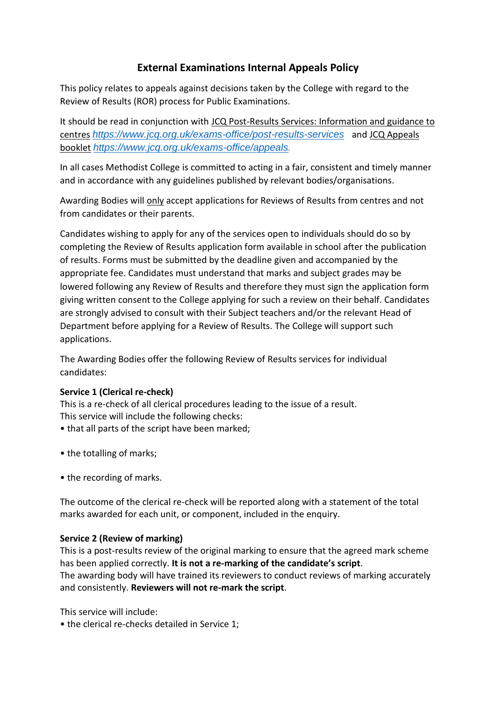# **External Examinations Internal Appeals Policy**

This policy relates to appeals against decisions taken by the College with regard to the Review of Results (ROR) process for Public Examinations.

It should be read in conjunction with JCQ Post-Results Services: Information and guidance to centres *<https://www.jcq.org.uk/exams-office/post-results-services>*and JCQ Appeals booklet *[https://www.jcq.org.uk/exams-office/appeals.](https://www.jcq.org.uk/exams-office/appeals)*

In all cases Methodist College is committed to acting in a fair, consistent and timely manner and in accordance with any guidelines published by relevant bodies/organisations.

Awarding Bodies will only accept applications for Reviews of Results from centres and not from candidates or their parents.

Candidates wishing to apply for any of the services open to individuals should do so by completing the Review of Results application form available in school after the publication of results. Forms must be submitted by the deadline given and accompanied by the appropriate fee. Candidates must understand that marks and subject grades may be lowered following any Review of Results and therefore they must sign the application form giving written consent to the College applying for such a review on their behalf. Candidates are strongly advised to consult with their Subject teachers and/or the relevant Head of Department before applying for a Review of Results. The College will support such applications.

The Awarding Bodies offer the following Review of Results services for individual candidates:

### **Service 1 (Clerical re-check)**

This is a re-check of all clerical procedures leading to the issue of a result. This service will include the following checks:

- that all parts of the script have been marked;
- the totalling of marks;
- the recording of marks.

The outcome of the clerical re-check will be reported along with a statement of the total marks awarded for each unit, or component, included in the enquiry.

### **Service 2 (Review of marking)**

This is a post-results review of the original marking to ensure that the agreed mark scheme has been applied correctly. **It is not a re-marking of the candidate's script**. The awarding body will have trained its reviewers to conduct reviews of marking accurately and consistently. **Reviewers will not re-mark the script**.

This service will include:

• the clerical re-checks detailed in Service 1;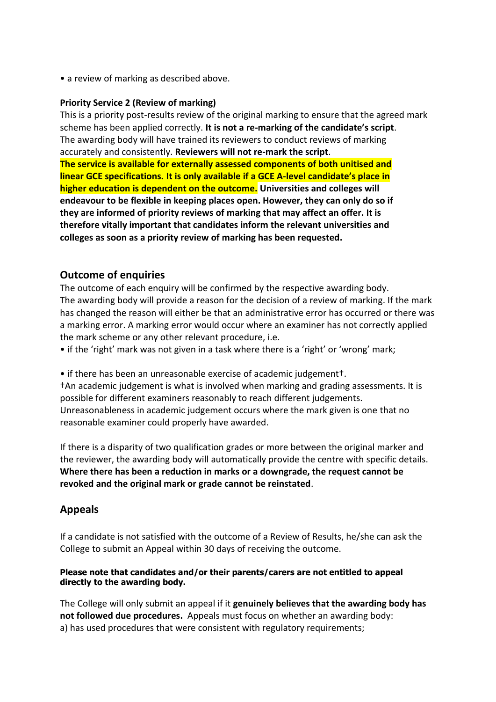• a review of marking as described above.

#### **Priority Service 2 (Review of marking)**

This is a priority post-results review of the original marking to ensure that the agreed mark scheme has been applied correctly. **It is not a re-marking of the candidate's script**. The awarding body will have trained its reviewers to conduct reviews of marking accurately and consistently. **Reviewers will not re-mark the script**. **The service is available for externally assessed components of both unitised and linear GCE specifications. It is only available if a GCE A-level candidate's place in higher education is dependent on the outcome. Universities and colleges will endeavour to be flexible in keeping places open. However, they can only do so if they are informed of priority reviews of marking that may affect an offer. It is therefore vitally important that candidates inform the relevant universities and colleges as soon as a priority review of marking has been requested.** 

# **Outcome of enquiries**

The outcome of each enquiry will be confirmed by the respective awarding body. The awarding body will provide a reason for the decision of a review of marking. If the mark has changed the reason will either be that an administrative error has occurred or there was a marking error. A marking error would occur where an examiner has not correctly applied the mark scheme or any other relevant procedure, i.e.

• if the 'right' mark was not given in a task where there is a 'right' or 'wrong' mark;

• if there has been an unreasonable exercise of academic judgement†.

†An academic judgement is what is involved when marking and grading assessments. It is possible for different examiners reasonably to reach different judgements. Unreasonableness in academic judgement occurs where the mark given is one that no reasonable examiner could properly have awarded.

If there is a disparity of two qualification grades or more between the original marker and the reviewer, the awarding body will automatically provide the centre with specific details. **Where there has been a reduction in marks or a downgrade, the request cannot be revoked and the original mark or grade cannot be reinstated**.

# **Appeals**

If a candidate is not satisfied with the outcome of a Review of Results, he/she can ask the College to submit an Appeal within 30 days of receiving the outcome.

#### **Please note that candidates and/or their parents/carers are not entitled to appeal directly to the awarding body.**

The College will only submit an appeal if it **genuinely believes that the awarding body has not followed due procedures.** Appeals must focus on whether an awarding body: a) has used procedures that were consistent with regulatory requirements;